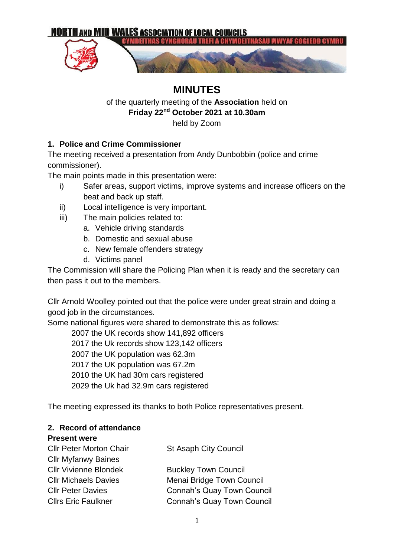

# **MINUTES**

### of the quarterly meeting of the **Association** held on **Friday 22nd October 2021 at 10.30am** held by Zoom

## **1. Police and Crime Commissioner**

The meeting received a presentation from Andy Dunbobbin (police and crime commissioner).

The main points made in this presentation were:

- i) Safer areas, support victims, improve systems and increase officers on the beat and back up staff.
- ii) Local intelligence is very important.
- iii) The main policies related to:
	- a. Vehicle driving standards
	- b. Domestic and sexual abuse
	- c. New female offenders strategy
	- d. Victims panel

The Commission will share the Policing Plan when it is ready and the secretary can then pass it out to the members.

Cllr Arnold Woolley pointed out that the police were under great strain and doing a good job in the circumstances.

Some national figures were shared to demonstrate this as follows:

2007 the UK records show 141,892 officers 2017 the Uk records show 123,142 officers 2007 the UK population was 62.3m 2017 the UK population was 67.2m 2010 the UK had 30m cars registered

2029 the Uk had 32.9m cars registered

The meeting expressed its thanks to both Police representatives present.

## **2. Record of attendance**

#### **Present were**

| <b>Cllr Peter Morton Chair</b> | <b>St Asaph City Council</b>      |
|--------------------------------|-----------------------------------|
| <b>Cllr Myfanwy Baines</b>     |                                   |
| <b>Cllr Vivienne Blondek</b>   | <b>Buckley Town Council</b>       |
| <b>CIIr Michaels Davies</b>    | Menai Bridge Town Council         |
| <b>Cllr Peter Davies</b>       | <b>Connah's Quay Town Council</b> |
| <b>Cllrs Eric Faulkner</b>     | <b>Connah's Quay Town Council</b> |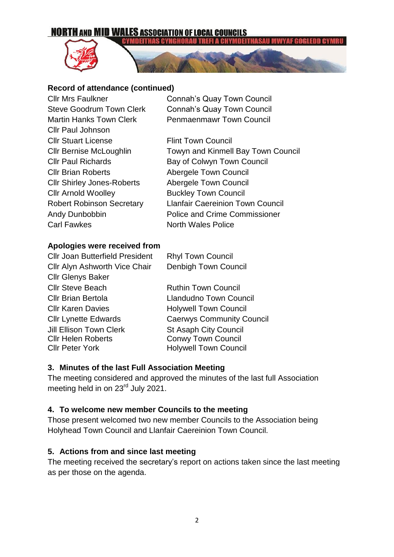## **NORTH AND MID WALES ASSOCIATION OF LOCAL COUNCILS**



#### **:YMDEITHAS CYNGH**

#### **Record of attendance (continued)**

Cllr Paul Johnson **Cllr Stuart License** Flint Town Council Cllr Brian Roberts Abergele Town Council Cllr Shirley Jones-Roberts Abergele Town Council Cllr Arnold Woolley Buckley Town Council Carl Fawkes North Wales Police

Cllr Mrs Faulkner Connah's Quay Town Council Steve Goodrum Town Clerk Connah's Quay Town Council Martin Hanks Town Clerk Penmaenmawr Town Council

Cllr Bernise McLoughlin Towyn and Kinmell Bay Town Council Cllr Paul Richards Bay of Colwyn Town Council Robert Robinson Secretary Llanfair Caereinion Town Council Andy Dunbobbin Police and Crime Commissioner

#### **Apologies were received from**

Cllr Joan Butterfield President Rhyl Town Council Cllr Alyn Ashworth Vice Chair Denbigh Town Council Cllr Glenys Baker Cllr Steve Beach Ruthin Town Council Cllr Brian Bertola Llandudno Town Council Cllr Karen Davies **Holywell Town Council** Cllr Lynette Edwards Caerwys Community Council Jill Ellison Town Clerk St Asaph City Council Cllr Helen Roberts Conwy Town Council Cllr Peter York Holywell Town Council

#### **3. Minutes of the last Full Association Meeting**

The meeting considered and approved the minutes of the last full Association meeting held in on 23<sup>rd</sup> July 2021.

#### **4. To welcome new member Councils to the meeting**

Those present welcomed two new member Councils to the Association being Holyhead Town Council and Llanfair Caereinion Town Council.

### **5. Actions from and since last meeting**

The meeting received the secretary's report on actions taken since the last meeting as per those on the agenda.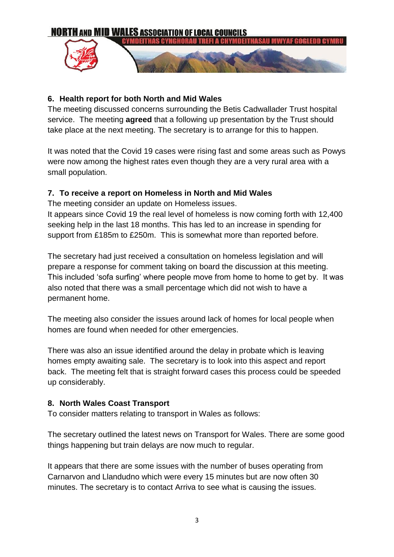

### **6. Health report for both North and Mid Wales**

The meeting discussed concerns surrounding the Betis Cadwallader Trust hospital service. The meeting **agreed** that a following up presentation by the Trust should take place at the next meeting. The secretary is to arrange for this to happen.

It was noted that the Covid 19 cases were rising fast and some areas such as Powys were now among the highest rates even though they are a very rural area with a small population.

### **7. To receive a report on Homeless in North and Mid Wales**

The meeting consider an update on Homeless issues.

It appears since Covid 19 the real level of homeless is now coming forth with 12,400 seeking help in the last 18 months. This has led to an increase in spending for support from £185m to £250m. This is somewhat more than reported before.

The secretary had just received a consultation on homeless legislation and will prepare a response for comment taking on board the discussion at this meeting. This included 'sofa surfing' where people move from home to home to get by. It was also noted that there was a small percentage which did not wish to have a permanent home.

The meeting also consider the issues around lack of homes for local people when homes are found when needed for other emergencies.

There was also an issue identified around the delay in probate which is leaving homes empty awaiting sale. The secretary is to look into this aspect and report back. The meeting felt that is straight forward cases this process could be speeded up considerably.

#### **8. North Wales Coast Transport**

To consider matters relating to transport in Wales as follows:

The secretary outlined the latest news on Transport for Wales. There are some good things happening but train delays are now much to regular.

It appears that there are some issues with the number of buses operating from Carnarvon and Llandudno which were every 15 minutes but are now often 30 minutes. The secretary is to contact Arriva to see what is causing the issues.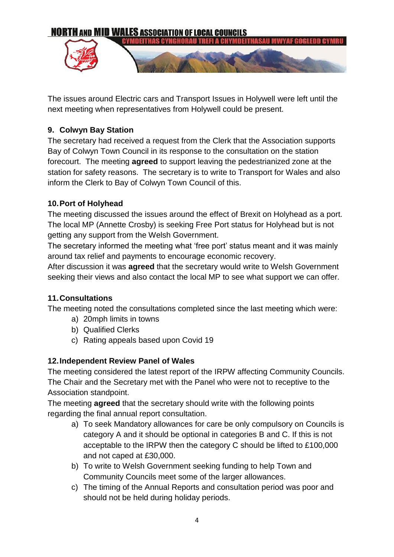

The issues around Electric cars and Transport Issues in Holywell were left until the next meeting when representatives from Holywell could be present.

## **9. Colwyn Bay Station**

The secretary had received a request from the Clerk that the Association supports Bay of Colwyn Town Council in its response to the consultation on the station forecourt. The meeting **agreed** to support leaving the pedestrianized zone at the station for safety reasons. The secretary is to write to Transport for Wales and also inform the Clerk to Bay of Colwyn Town Council of this.

### **10.Port of Holyhead**

The meeting discussed the issues around the effect of Brexit on Holyhead as a port. The local MP (Annette Crosby) is seeking Free Port status for Holyhead but is not getting any support from the Welsh Government.

The secretary informed the meeting what 'free port' status meant and it was mainly around tax relief and payments to encourage economic recovery.

After discussion it was **agreed** that the secretary would write to Welsh Government seeking their views and also contact the local MP to see what support we can offer.

### **11.Consultations**

The meeting noted the consultations completed since the last meeting which were:

- a) 20mph limits in towns
- b) Qualified Clerks
- c) Rating appeals based upon Covid 19

## **12.Independent Review Panel of Wales**

The meeting considered the latest report of the IRPW affecting Community Councils. The Chair and the Secretary met with the Panel who were not to receptive to the Association standpoint.

The meeting **agreed** that the secretary should write with the following points regarding the final annual report consultation.

- a) To seek Mandatory allowances for care be only compulsory on Councils is category A and it should be optional in categories B and C. If this is not acceptable to the IRPW then the category C should be lifted to £100,000 and not caped at £30,000.
- b) To write to Welsh Government seeking funding to help Town and Community Councils meet some of the larger allowances.
- c) The timing of the Annual Reports and consultation period was poor and should not be held during holiday periods.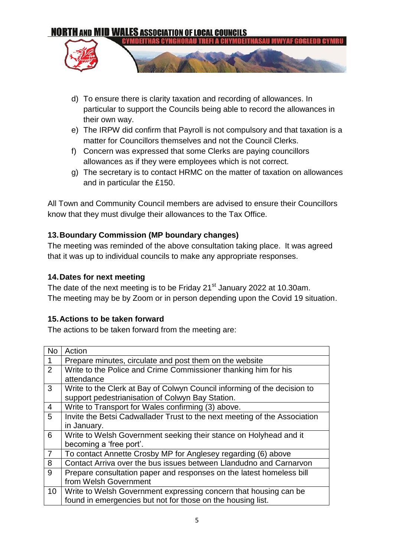

- d) To ensure there is clarity taxation and recording of allowances. In particular to support the Councils being able to record the allowances in their own way.
- e) The IRPW did confirm that Payroll is not compulsory and that taxation is a matter for Councillors themselves and not the Council Clerks.
- f) Concern was expressed that some Clerks are paying councillors allowances as if they were employees which is not correct.
- g) The secretary is to contact HRMC on the matter of taxation on allowances and in particular the £150.

All Town and Community Council members are advised to ensure their Councillors know that they must divulge their allowances to the Tax Office.

## **13.Boundary Commission (MP boundary changes)**

The meeting was reminded of the above consultation taking place. It was agreed that it was up to individual councils to make any appropriate responses.

## **14.Dates for next meeting**

The date of the next meeting is to be Friday  $21<sup>st</sup>$  January 2022 at 10.30am. The meeting may be by Zoom or in person depending upon the Covid 19 situation.

## **15.Actions to be taken forward**

The actions to be taken forward from the meeting are:

| <b>No</b>       | Action                                                                    |
|-----------------|---------------------------------------------------------------------------|
| $\mathbf{1}$    | Prepare minutes, circulate and post them on the website                   |
| $\overline{2}$  | Write to the Police and Crime Commissioner thanking him for his           |
|                 | attendance                                                                |
| 3               | Write to the Clerk at Bay of Colwyn Council informing of the decision to  |
|                 | support pedestrianisation of Colwyn Bay Station.                          |
| $\overline{4}$  | Write to Transport for Wales confirming (3) above.                        |
| 5               | Invite the Betsi Cadwallader Trust to the next meeting of the Association |
|                 | in January.                                                               |
| 6               | Write to Welsh Government seeking their stance on Holyhead and it         |
|                 | becoming a 'free port'.                                                   |
| $\overline{7}$  | To contact Annette Crosby MP for Anglesey regarding (6) above             |
| 8               | Contact Arriva over the bus issues between Llandudno and Carnarvon        |
| 9               | Prepare consultation paper and responses on the latest homeless bill      |
|                 | from Welsh Government                                                     |
| 10 <sup>°</sup> | Write to Welsh Government expressing concern that housing can be          |
|                 | found in emergencies but not for those on the housing list.               |